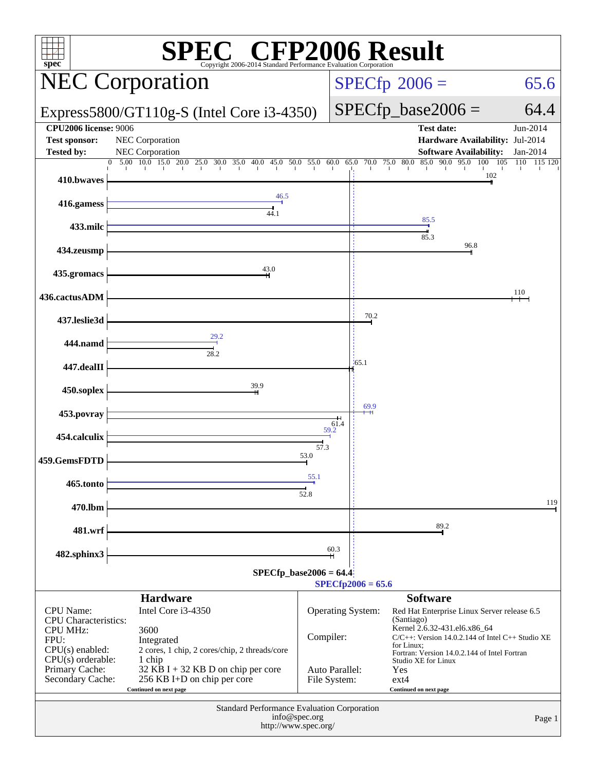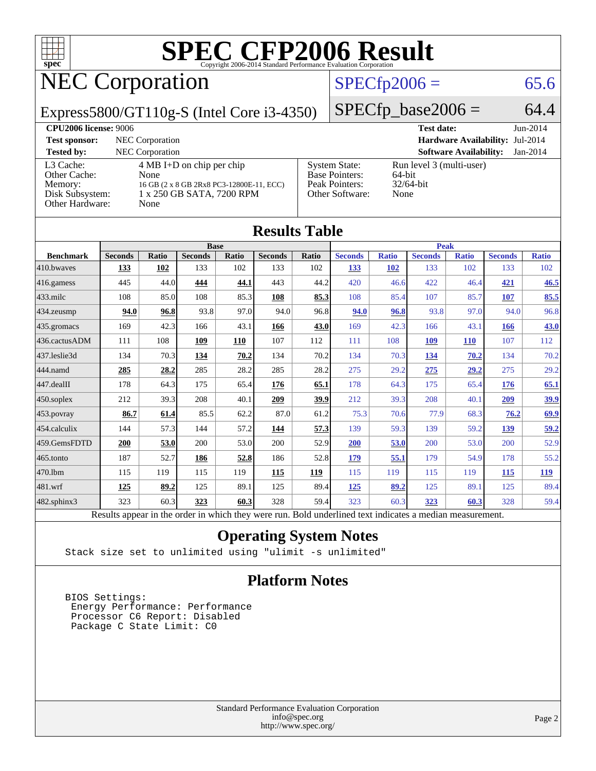

## NEC Corporation

#### $SPECTp2006 = 65.6$

Express5800/GT110g-S (Intel Core i3-4350)

 $SPECfp\_base2006 = 64.4$ 

| <b>CPU2006 license: 9006</b>                                               |                                                                                                                              |                                                                                    | <b>Test date:</b>                                             | $Jun-2014$ |
|----------------------------------------------------------------------------|------------------------------------------------------------------------------------------------------------------------------|------------------------------------------------------------------------------------|---------------------------------------------------------------|------------|
| <b>Test sponsor:</b>                                                       | NEC Corporation                                                                                                              |                                                                                    | <b>Hardware Availability: Jul-2014</b>                        |            |
| <b>Tested by:</b>                                                          | <b>NEC</b> Corporation                                                                                                       |                                                                                    | <b>Software Availability:</b>                                 | $Jan-2014$ |
| L3 Cache:<br>Other Cache:<br>Memory:<br>Disk Subsystem:<br>Other Hardware: | $4 \text{ MB I+D}$ on chip per chip<br>None<br>16 GB (2 x 8 GB 2Rx8 PC3-12800E-11, ECC)<br>1 x 250 GB SATA, 7200 RPM<br>None | <b>System State:</b><br><b>Base Pointers:</b><br>Peak Pointers:<br>Other Software: | Run level 3 (multi-user)<br>$64$ -bit<br>$32/64$ -bit<br>None |            |

| <b>Results Table</b> |                                                                                                          |              |                |       |                |       |                |              |                |              |                |              |
|----------------------|----------------------------------------------------------------------------------------------------------|--------------|----------------|-------|----------------|-------|----------------|--------------|----------------|--------------|----------------|--------------|
|                      |                                                                                                          |              | <b>Base</b>    |       |                |       |                |              | <b>Peak</b>    |              |                |              |
| <b>Benchmark</b>     | <b>Seconds</b>                                                                                           | <b>Ratio</b> | <b>Seconds</b> | Ratio | <b>Seconds</b> | Ratio | <b>Seconds</b> | <b>Ratio</b> | <b>Seconds</b> | <b>Ratio</b> | <b>Seconds</b> | <b>Ratio</b> |
| 410.bwayes           | 133                                                                                                      | 102          | 133            | 102   | 133            | 102   | 133            | <b>102</b>   | 133            | 102          | 133            | 102          |
| 416.gamess           | 445                                                                                                      | 44.0         | 444            | 44.1  | 443            | 44.2  | 420            | 46.6         | 422            | 46.4         | 421            | 46.5         |
| 433.milc             | 108                                                                                                      | 85.0         | 108            | 85.3  | 108            | 85.3  | 108            | 85.4         | 107            | 85.7         | 107            | 85.5         |
| 434.zeusmp           | 94.0                                                                                                     | 96.8         | 93.8           | 97.0  | 94.0           | 96.8  | 94.0           | 96.8         | 93.8           | 97.0         | 94.0           | 96.8         |
| 435.gromacs          | 169                                                                                                      | 42.3         | 166            | 43.1  | 166            | 43.0  | 169            | 42.3         | 166            | 43.1         | 166            | 43.0         |
| 436.cactusADM        | 111                                                                                                      | 108          | 109            | 110   | 107            | 112   | 111            | 108          | <b>109</b>     | <b>110</b>   | 107            | 112          |
| 437.leslie3d         | 134                                                                                                      | 70.3         | 134            | 70.2  | 134            | 70.2  | 134            | 70.3         | 134            | 70.2         | 134            | 70.2         |
| 444.namd             | 285                                                                                                      | 28.2         | 285            | 28.2  | 285            | 28.2  | 275            | 29.2         | 275            | 29.2         | 275            | 29.2         |
| 447.dealII           | 178                                                                                                      | 64.3         | 175            | 65.4  | 176            | 65.1  | 178            | 64.3         | 175            | 65.4         | 176            | 65.1         |
| 450.soplex           | 212                                                                                                      | 39.3         | 208            | 40.1  | 209            | 39.9  | 212            | 39.3         | 208            | 40.1         | 209            | <u>39.9</u>  |
| 453.povray           | 86.7                                                                                                     | 61.4         | 85.5           | 62.2  | 87.0           | 61.2  | 75.3           | 70.6         | 77.9           | 68.3         | 76.2           | 69.9         |
| 454.calculix         | 144                                                                                                      | 57.3         | 144            | 57.2  | 144            | 57.3  | 139            | 59.3         | 139            | 59.2         | <u>139</u>     | 59.2         |
| 459.GemsFDTD         | 200                                                                                                      | 53.0         | 200            | 53.0  | 200            | 52.9  | 200            | 53.0         | 200            | 53.0         | 200            | 52.9         |
| 465.tonto            | 187                                                                                                      | 52.7         | 186            | 52.8  | 186            | 52.8  | 179            | 55.1         | 179            | 54.9         | 178            | 55.2         |
| 470.1bm              | 115                                                                                                      | 119          | 115            | 119   | 115            | 119   | 115            | 119          | 115            | 119          | 115            | <u>119</u>   |
| 481.wrf              | 125                                                                                                      | 89.2         | 125            | 89.1  | 125            | 89.4  | 125            | 89.2         | 125            | 89.1         | 125            | 89.4         |
| $482$ .sphinx $3$    | 323                                                                                                      | 60.3         | 323            | 60.3  | 328            | 59.4  | 323            | 60.3         | 323            | 60.3         | 328            | 59.4         |
|                      | Results appear in the order in which they were run. Bold underlined text indicates a median measurement. |              |                |       |                |       |                |              |                |              |                |              |

#### **[Operating System Notes](http://www.spec.org/auto/cpu2006/Docs/result-fields.html#OperatingSystemNotes)**

Stack size set to unlimited using "ulimit -s unlimited"

#### **[Platform Notes](http://www.spec.org/auto/cpu2006/Docs/result-fields.html#PlatformNotes)**

 BIOS Settings: Energy Performance: Performance Processor C6 Report: Disabled Package C State Limit: C0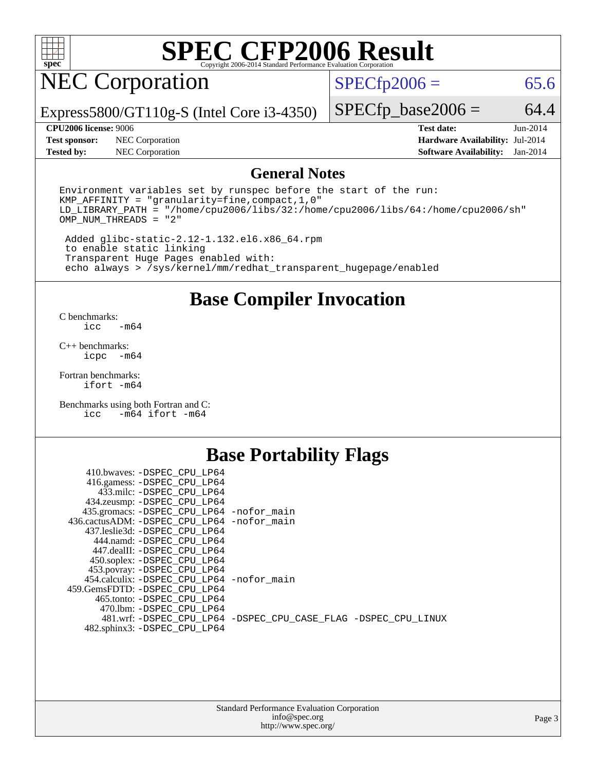

## NEC Corporation

 $SPECfp2006 = 65.6$  $SPECfp2006 = 65.6$ 

Express5800/GT110g-S (Intel Core i3-4350)

**[Test sponsor:](http://www.spec.org/auto/cpu2006/Docs/result-fields.html#Testsponsor)** NEC Corporation **[Hardware Availability:](http://www.spec.org/auto/cpu2006/Docs/result-fields.html#HardwareAvailability)** Jul-2014

 $SPECfp\_base2006 = 64.4$ 

**[Tested by:](http://www.spec.org/auto/cpu2006/Docs/result-fields.html#Testedby)** NEC Corporation **[Software Availability:](http://www.spec.org/auto/cpu2006/Docs/result-fields.html#SoftwareAvailability)** Jan-2014

**[CPU2006 license:](http://www.spec.org/auto/cpu2006/Docs/result-fields.html#CPU2006license)** 9006 **[Test date:](http://www.spec.org/auto/cpu2006/Docs/result-fields.html#Testdate)** Jun-2014

#### **[General Notes](http://www.spec.org/auto/cpu2006/Docs/result-fields.html#GeneralNotes)**

Environment variables set by runspec before the start of the run: KMP\_AFFINITY = "granularity=fine,compact,1,0" LD\_LIBRARY\_PATH = "/home/cpu2006/libs/32:/home/cpu2006/libs/64:/home/cpu2006/sh" OMP\_NUM\_THREADS = "2"

 Added glibc-static-2.12-1.132.el6.x86\_64.rpm to enable static linking Transparent Huge Pages enabled with: echo always > /sys/kernel/mm/redhat\_transparent\_hugepage/enabled

**[Base Compiler Invocation](http://www.spec.org/auto/cpu2006/Docs/result-fields.html#BaseCompilerInvocation)**

[C benchmarks](http://www.spec.org/auto/cpu2006/Docs/result-fields.html#Cbenchmarks):  $-m64$ 

[C++ benchmarks:](http://www.spec.org/auto/cpu2006/Docs/result-fields.html#CXXbenchmarks) [icpc -m64](http://www.spec.org/cpu2006/results/res2014q3/cpu2006-20140806-30812.flags.html#user_CXXbase_intel_icpc_64bit_bedb90c1146cab66620883ef4f41a67e)

[Fortran benchmarks](http://www.spec.org/auto/cpu2006/Docs/result-fields.html#Fortranbenchmarks): [ifort -m64](http://www.spec.org/cpu2006/results/res2014q3/cpu2006-20140806-30812.flags.html#user_FCbase_intel_ifort_64bit_ee9d0fb25645d0210d97eb0527dcc06e)

[Benchmarks using both Fortran and C](http://www.spec.org/auto/cpu2006/Docs/result-fields.html#BenchmarksusingbothFortranandC): [icc -m64](http://www.spec.org/cpu2006/results/res2014q3/cpu2006-20140806-30812.flags.html#user_CC_FCbase_intel_icc_64bit_0b7121f5ab7cfabee23d88897260401c) [ifort -m64](http://www.spec.org/cpu2006/results/res2014q3/cpu2006-20140806-30812.flags.html#user_CC_FCbase_intel_ifort_64bit_ee9d0fb25645d0210d97eb0527dcc06e)

#### **[Base Portability Flags](http://www.spec.org/auto/cpu2006/Docs/result-fields.html#BasePortabilityFlags)**

| 410.bwaves: -DSPEC CPU LP64                  |                                                                |
|----------------------------------------------|----------------------------------------------------------------|
| 416.gamess: -DSPEC_CPU_LP64                  |                                                                |
| 433.milc: -DSPEC CPU LP64                    |                                                                |
| 434.zeusmp: -DSPEC_CPU_LP64                  |                                                                |
| 435.gromacs: -DSPEC_CPU_LP64 -nofor_main     |                                                                |
| 436.cactusADM: - DSPEC CPU LP64 - nofor main |                                                                |
| 437.leslie3d: -DSPEC CPU LP64                |                                                                |
| 444.namd: -DSPEC CPU LP64                    |                                                                |
| 447.dealII: -DSPEC CPU LP64                  |                                                                |
| 450.soplex: -DSPEC_CPU_LP64                  |                                                                |
| 453.povray: -DSPEC CPU LP64                  |                                                                |
| 454.calculix: - DSPEC CPU LP64 - nofor main  |                                                                |
| 459. GemsFDTD: - DSPEC CPU LP64              |                                                                |
| 465.tonto: - DSPEC CPU LP64                  |                                                                |
| 470.1bm: -DSPEC CPU LP64                     |                                                                |
|                                              | 481.wrf: -DSPEC CPU_LP64 -DSPEC_CPU_CASE_FLAG -DSPEC_CPU_LINUX |
| 482.sphinx3: -DSPEC_CPU_LP64                 |                                                                |
|                                              |                                                                |

| <b>Standard Performance Evaluation Corporation</b> |
|----------------------------------------------------|
| info@spec.org                                      |
| http://www.spec.org/                               |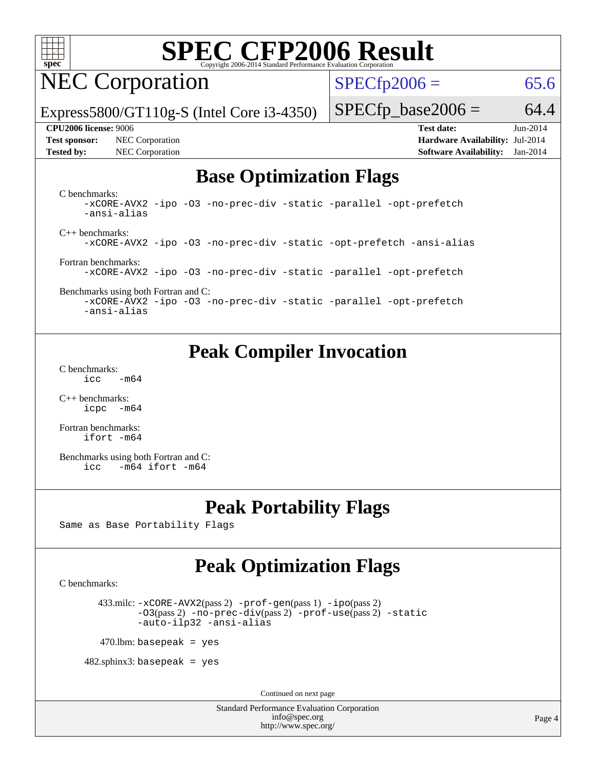

NEC Corporation

 $SPECTp2006 = 65.6$ 

Express5800/GT110g-S (Intel Core i3-4350)

#### **[CPU2006 license:](http://www.spec.org/auto/cpu2006/Docs/result-fields.html#CPU2006license)** 9006 **[Test date:](http://www.spec.org/auto/cpu2006/Docs/result-fields.html#Testdate)** Jun-2014

**[Test sponsor:](http://www.spec.org/auto/cpu2006/Docs/result-fields.html#Testsponsor)** NEC Corporation **[Hardware Availability:](http://www.spec.org/auto/cpu2006/Docs/result-fields.html#HardwareAvailability)** Jul-2014

 $SPECfp\_base2006 = 64.4$ 

**[Tested by:](http://www.spec.org/auto/cpu2006/Docs/result-fields.html#Testedby)** NEC Corporation **[Software Availability:](http://www.spec.org/auto/cpu2006/Docs/result-fields.html#SoftwareAvailability)** Jan-2014

#### **[Base Optimization Flags](http://www.spec.org/auto/cpu2006/Docs/result-fields.html#BaseOptimizationFlags)**

[C benchmarks](http://www.spec.org/auto/cpu2006/Docs/result-fields.html#Cbenchmarks):

[-xCORE-AVX2](http://www.spec.org/cpu2006/results/res2014q3/cpu2006-20140806-30812.flags.html#user_CCbase_f-xAVX2_5f5fc0cbe2c9f62c816d3e45806c70d7) [-ipo](http://www.spec.org/cpu2006/results/res2014q3/cpu2006-20140806-30812.flags.html#user_CCbase_f-ipo) [-O3](http://www.spec.org/cpu2006/results/res2014q3/cpu2006-20140806-30812.flags.html#user_CCbase_f-O3) [-no-prec-div](http://www.spec.org/cpu2006/results/res2014q3/cpu2006-20140806-30812.flags.html#user_CCbase_f-no-prec-div) [-static](http://www.spec.org/cpu2006/results/res2014q3/cpu2006-20140806-30812.flags.html#user_CCbase_f-static) [-parallel](http://www.spec.org/cpu2006/results/res2014q3/cpu2006-20140806-30812.flags.html#user_CCbase_f-parallel) [-opt-prefetch](http://www.spec.org/cpu2006/results/res2014q3/cpu2006-20140806-30812.flags.html#user_CCbase_f-opt-prefetch) [-ansi-alias](http://www.spec.org/cpu2006/results/res2014q3/cpu2006-20140806-30812.flags.html#user_CCbase_f-ansi-alias) [C++ benchmarks:](http://www.spec.org/auto/cpu2006/Docs/result-fields.html#CXXbenchmarks) [-xCORE-AVX2](http://www.spec.org/cpu2006/results/res2014q3/cpu2006-20140806-30812.flags.html#user_CXXbase_f-xAVX2_5f5fc0cbe2c9f62c816d3e45806c70d7) [-ipo](http://www.spec.org/cpu2006/results/res2014q3/cpu2006-20140806-30812.flags.html#user_CXXbase_f-ipo) [-O3](http://www.spec.org/cpu2006/results/res2014q3/cpu2006-20140806-30812.flags.html#user_CXXbase_f-O3) [-no-prec-div](http://www.spec.org/cpu2006/results/res2014q3/cpu2006-20140806-30812.flags.html#user_CXXbase_f-no-prec-div) [-static](http://www.spec.org/cpu2006/results/res2014q3/cpu2006-20140806-30812.flags.html#user_CXXbase_f-static) [-opt-prefetch](http://www.spec.org/cpu2006/results/res2014q3/cpu2006-20140806-30812.flags.html#user_CXXbase_f-opt-prefetch) [-ansi-alias](http://www.spec.org/cpu2006/results/res2014q3/cpu2006-20140806-30812.flags.html#user_CXXbase_f-ansi-alias)

[Fortran benchmarks](http://www.spec.org/auto/cpu2006/Docs/result-fields.html#Fortranbenchmarks): [-xCORE-AVX2](http://www.spec.org/cpu2006/results/res2014q3/cpu2006-20140806-30812.flags.html#user_FCbase_f-xAVX2_5f5fc0cbe2c9f62c816d3e45806c70d7) [-ipo](http://www.spec.org/cpu2006/results/res2014q3/cpu2006-20140806-30812.flags.html#user_FCbase_f-ipo) [-O3](http://www.spec.org/cpu2006/results/res2014q3/cpu2006-20140806-30812.flags.html#user_FCbase_f-O3) [-no-prec-div](http://www.spec.org/cpu2006/results/res2014q3/cpu2006-20140806-30812.flags.html#user_FCbase_f-no-prec-div) [-static](http://www.spec.org/cpu2006/results/res2014q3/cpu2006-20140806-30812.flags.html#user_FCbase_f-static) [-parallel](http://www.spec.org/cpu2006/results/res2014q3/cpu2006-20140806-30812.flags.html#user_FCbase_f-parallel) [-opt-prefetch](http://www.spec.org/cpu2006/results/res2014q3/cpu2006-20140806-30812.flags.html#user_FCbase_f-opt-prefetch)

[Benchmarks using both Fortran and C](http://www.spec.org/auto/cpu2006/Docs/result-fields.html#BenchmarksusingbothFortranandC):

[-xCORE-AVX2](http://www.spec.org/cpu2006/results/res2014q3/cpu2006-20140806-30812.flags.html#user_CC_FCbase_f-xAVX2_5f5fc0cbe2c9f62c816d3e45806c70d7) [-ipo](http://www.spec.org/cpu2006/results/res2014q3/cpu2006-20140806-30812.flags.html#user_CC_FCbase_f-ipo) [-O3](http://www.spec.org/cpu2006/results/res2014q3/cpu2006-20140806-30812.flags.html#user_CC_FCbase_f-O3) [-no-prec-div](http://www.spec.org/cpu2006/results/res2014q3/cpu2006-20140806-30812.flags.html#user_CC_FCbase_f-no-prec-div) [-static](http://www.spec.org/cpu2006/results/res2014q3/cpu2006-20140806-30812.flags.html#user_CC_FCbase_f-static) [-parallel](http://www.spec.org/cpu2006/results/res2014q3/cpu2006-20140806-30812.flags.html#user_CC_FCbase_f-parallel) [-opt-prefetch](http://www.spec.org/cpu2006/results/res2014q3/cpu2006-20140806-30812.flags.html#user_CC_FCbase_f-opt-prefetch) [-ansi-alias](http://www.spec.org/cpu2006/results/res2014q3/cpu2006-20140806-30812.flags.html#user_CC_FCbase_f-ansi-alias)

#### **[Peak Compiler Invocation](http://www.spec.org/auto/cpu2006/Docs/result-fields.html#PeakCompilerInvocation)**

[C benchmarks](http://www.spec.org/auto/cpu2006/Docs/result-fields.html#Cbenchmarks):  $\text{icc}$  -m64

[C++ benchmarks:](http://www.spec.org/auto/cpu2006/Docs/result-fields.html#CXXbenchmarks) [icpc -m64](http://www.spec.org/cpu2006/results/res2014q3/cpu2006-20140806-30812.flags.html#user_CXXpeak_intel_icpc_64bit_bedb90c1146cab66620883ef4f41a67e)

[Fortran benchmarks](http://www.spec.org/auto/cpu2006/Docs/result-fields.html#Fortranbenchmarks): [ifort -m64](http://www.spec.org/cpu2006/results/res2014q3/cpu2006-20140806-30812.flags.html#user_FCpeak_intel_ifort_64bit_ee9d0fb25645d0210d97eb0527dcc06e)

[Benchmarks using both Fortran and C](http://www.spec.org/auto/cpu2006/Docs/result-fields.html#BenchmarksusingbothFortranandC): [icc -m64](http://www.spec.org/cpu2006/results/res2014q3/cpu2006-20140806-30812.flags.html#user_CC_FCpeak_intel_icc_64bit_0b7121f5ab7cfabee23d88897260401c) [ifort -m64](http://www.spec.org/cpu2006/results/res2014q3/cpu2006-20140806-30812.flags.html#user_CC_FCpeak_intel_ifort_64bit_ee9d0fb25645d0210d97eb0527dcc06e)

#### **[Peak Portability Flags](http://www.spec.org/auto/cpu2006/Docs/result-fields.html#PeakPortabilityFlags)**

Same as Base Portability Flags

### **[Peak Optimization Flags](http://www.spec.org/auto/cpu2006/Docs/result-fields.html#PeakOptimizationFlags)**

[C benchmarks](http://www.spec.org/auto/cpu2006/Docs/result-fields.html#Cbenchmarks):

 433.milc: [-xCORE-AVX2](http://www.spec.org/cpu2006/results/res2014q3/cpu2006-20140806-30812.flags.html#user_peakPASS2_CFLAGSPASS2_LDFLAGS433_milc_f-xAVX2_5f5fc0cbe2c9f62c816d3e45806c70d7)(pass 2) [-prof-gen](http://www.spec.org/cpu2006/results/res2014q3/cpu2006-20140806-30812.flags.html#user_peakPASS1_CFLAGSPASS1_LDFLAGS433_milc_prof_gen_e43856698f6ca7b7e442dfd80e94a8fc)(pass 1) [-ipo](http://www.spec.org/cpu2006/results/res2014q3/cpu2006-20140806-30812.flags.html#user_peakPASS2_CFLAGSPASS2_LDFLAGS433_milc_f-ipo)(pass 2) [-O3](http://www.spec.org/cpu2006/results/res2014q3/cpu2006-20140806-30812.flags.html#user_peakPASS2_CFLAGSPASS2_LDFLAGS433_milc_f-O3)(pass 2) [-no-prec-div](http://www.spec.org/cpu2006/results/res2014q3/cpu2006-20140806-30812.flags.html#user_peakPASS2_CFLAGSPASS2_LDFLAGS433_milc_f-no-prec-div)(pass 2) [-prof-use](http://www.spec.org/cpu2006/results/res2014q3/cpu2006-20140806-30812.flags.html#user_peakPASS2_CFLAGSPASS2_LDFLAGS433_milc_prof_use_bccf7792157ff70d64e32fe3e1250b55)(pass 2) [-static](http://www.spec.org/cpu2006/results/res2014q3/cpu2006-20140806-30812.flags.html#user_peakOPTIMIZE433_milc_f-static) [-auto-ilp32](http://www.spec.org/cpu2006/results/res2014q3/cpu2006-20140806-30812.flags.html#user_peakCOPTIMIZE433_milc_f-auto-ilp32) [-ansi-alias](http://www.spec.org/cpu2006/results/res2014q3/cpu2006-20140806-30812.flags.html#user_peakCOPTIMIZE433_milc_f-ansi-alias)

 $470$ .lbm: basepeak = yes

 $482$ .sphinx $3$ : basepeak = yes

Continued on next page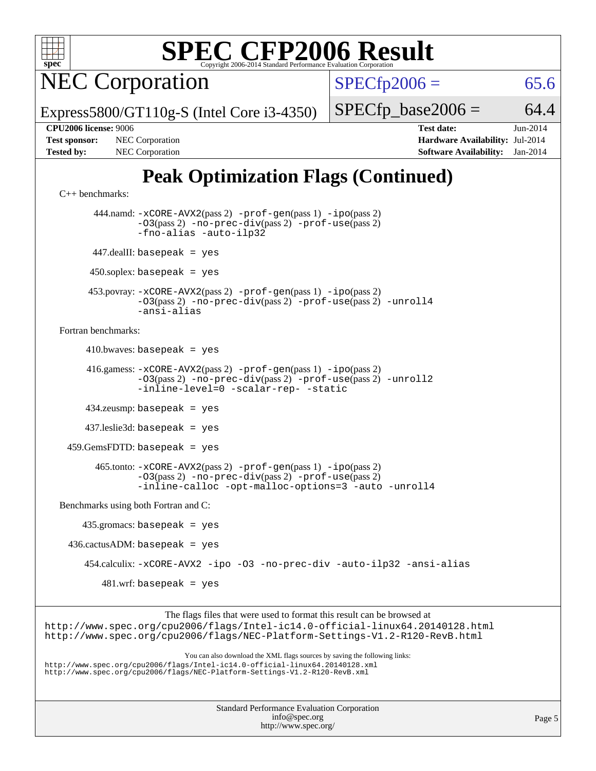

NEC Corporation

 $SPECTp2006 = 65.6$ 

Express5800/GT110g-S (Intel Core i3-4350)

 $SPECTp\_base2006 = 64.4$ 

**[CPU2006 license:](http://www.spec.org/auto/cpu2006/Docs/result-fields.html#CPU2006license)** 9006 **[Test date:](http://www.spec.org/auto/cpu2006/Docs/result-fields.html#Testdate)** Jun-2014 **[Test sponsor:](http://www.spec.org/auto/cpu2006/Docs/result-fields.html#Testsponsor)** NEC Corporation **[Hardware Availability:](http://www.spec.org/auto/cpu2006/Docs/result-fields.html#HardwareAvailability)** Jul-2014 **[Tested by:](http://www.spec.org/auto/cpu2006/Docs/result-fields.html#Testedby)** NEC Corporation **[Software Availability:](http://www.spec.org/auto/cpu2006/Docs/result-fields.html#SoftwareAvailability)** Jan-2014

## **[Peak Optimization Flags \(Continued\)](http://www.spec.org/auto/cpu2006/Docs/result-fields.html#PeakOptimizationFlags)**

[C++ benchmarks:](http://www.spec.org/auto/cpu2006/Docs/result-fields.html#CXXbenchmarks)

 444.namd: [-xCORE-AVX2](http://www.spec.org/cpu2006/results/res2014q3/cpu2006-20140806-30812.flags.html#user_peakPASS2_CXXFLAGSPASS2_LDFLAGS444_namd_f-xAVX2_5f5fc0cbe2c9f62c816d3e45806c70d7)(pass 2) [-prof-gen](http://www.spec.org/cpu2006/results/res2014q3/cpu2006-20140806-30812.flags.html#user_peakPASS1_CXXFLAGSPASS1_LDFLAGS444_namd_prof_gen_e43856698f6ca7b7e442dfd80e94a8fc)(pass 1) [-ipo](http://www.spec.org/cpu2006/results/res2014q3/cpu2006-20140806-30812.flags.html#user_peakPASS2_CXXFLAGSPASS2_LDFLAGS444_namd_f-ipo)(pass 2) [-O3](http://www.spec.org/cpu2006/results/res2014q3/cpu2006-20140806-30812.flags.html#user_peakPASS2_CXXFLAGSPASS2_LDFLAGS444_namd_f-O3)(pass 2) [-no-prec-div](http://www.spec.org/cpu2006/results/res2014q3/cpu2006-20140806-30812.flags.html#user_peakPASS2_CXXFLAGSPASS2_LDFLAGS444_namd_f-no-prec-div)(pass 2) [-prof-use](http://www.spec.org/cpu2006/results/res2014q3/cpu2006-20140806-30812.flags.html#user_peakPASS2_CXXFLAGSPASS2_LDFLAGS444_namd_prof_use_bccf7792157ff70d64e32fe3e1250b55)(pass 2) [-fno-alias](http://www.spec.org/cpu2006/results/res2014q3/cpu2006-20140806-30812.flags.html#user_peakCXXOPTIMIZEOPTIMIZE444_namd_f-no-alias_694e77f6c5a51e658e82ccff53a9e63a) [-auto-ilp32](http://www.spec.org/cpu2006/results/res2014q3/cpu2006-20140806-30812.flags.html#user_peakCXXOPTIMIZE444_namd_f-auto-ilp32) 447.dealII: basepeak = yes  $450$ .soplex: basepeak = yes 453.povray: [-xCORE-AVX2](http://www.spec.org/cpu2006/results/res2014q3/cpu2006-20140806-30812.flags.html#user_peakPASS2_CXXFLAGSPASS2_LDFLAGS453_povray_f-xAVX2_5f5fc0cbe2c9f62c816d3e45806c70d7)(pass 2) [-prof-gen](http://www.spec.org/cpu2006/results/res2014q3/cpu2006-20140806-30812.flags.html#user_peakPASS1_CXXFLAGSPASS1_LDFLAGS453_povray_prof_gen_e43856698f6ca7b7e442dfd80e94a8fc)(pass 1) [-ipo](http://www.spec.org/cpu2006/results/res2014q3/cpu2006-20140806-30812.flags.html#user_peakPASS2_CXXFLAGSPASS2_LDFLAGS453_povray_f-ipo)(pass 2) [-O3](http://www.spec.org/cpu2006/results/res2014q3/cpu2006-20140806-30812.flags.html#user_peakPASS2_CXXFLAGSPASS2_LDFLAGS453_povray_f-O3)(pass 2) [-no-prec-div](http://www.spec.org/cpu2006/results/res2014q3/cpu2006-20140806-30812.flags.html#user_peakPASS2_CXXFLAGSPASS2_LDFLAGS453_povray_f-no-prec-div)(pass 2) [-prof-use](http://www.spec.org/cpu2006/results/res2014q3/cpu2006-20140806-30812.flags.html#user_peakPASS2_CXXFLAGSPASS2_LDFLAGS453_povray_prof_use_bccf7792157ff70d64e32fe3e1250b55)(pass 2) [-unroll4](http://www.spec.org/cpu2006/results/res2014q3/cpu2006-20140806-30812.flags.html#user_peakCXXOPTIMIZE453_povray_f-unroll_4e5e4ed65b7fd20bdcd365bec371b81f) [-ansi-alias](http://www.spec.org/cpu2006/results/res2014q3/cpu2006-20140806-30812.flags.html#user_peakCXXOPTIMIZE453_povray_f-ansi-alias) [Fortran benchmarks](http://www.spec.org/auto/cpu2006/Docs/result-fields.html#Fortranbenchmarks):  $410.bwaves: basepeak = yes$  416.gamess: [-xCORE-AVX2](http://www.spec.org/cpu2006/results/res2014q3/cpu2006-20140806-30812.flags.html#user_peakPASS2_FFLAGSPASS2_LDFLAGS416_gamess_f-xAVX2_5f5fc0cbe2c9f62c816d3e45806c70d7)(pass 2) [-prof-gen](http://www.spec.org/cpu2006/results/res2014q3/cpu2006-20140806-30812.flags.html#user_peakPASS1_FFLAGSPASS1_LDFLAGS416_gamess_prof_gen_e43856698f6ca7b7e442dfd80e94a8fc)(pass 1) [-ipo](http://www.spec.org/cpu2006/results/res2014q3/cpu2006-20140806-30812.flags.html#user_peakPASS2_FFLAGSPASS2_LDFLAGS416_gamess_f-ipo)(pass 2) [-O3](http://www.spec.org/cpu2006/results/res2014q3/cpu2006-20140806-30812.flags.html#user_peakPASS2_FFLAGSPASS2_LDFLAGS416_gamess_f-O3)(pass 2) [-no-prec-div](http://www.spec.org/cpu2006/results/res2014q3/cpu2006-20140806-30812.flags.html#user_peakPASS2_FFLAGSPASS2_LDFLAGS416_gamess_f-no-prec-div)(pass 2) [-prof-use](http://www.spec.org/cpu2006/results/res2014q3/cpu2006-20140806-30812.flags.html#user_peakPASS2_FFLAGSPASS2_LDFLAGS416_gamess_prof_use_bccf7792157ff70d64e32fe3e1250b55)(pass 2) [-unroll2](http://www.spec.org/cpu2006/results/res2014q3/cpu2006-20140806-30812.flags.html#user_peakOPTIMIZE416_gamess_f-unroll_784dae83bebfb236979b41d2422d7ec2) [-inline-level=0](http://www.spec.org/cpu2006/results/res2014q3/cpu2006-20140806-30812.flags.html#user_peakOPTIMIZE416_gamess_f-inline-level_318d07a09274ad25e8d15dbfaa68ba50) [-scalar-rep-](http://www.spec.org/cpu2006/results/res2014q3/cpu2006-20140806-30812.flags.html#user_peakOPTIMIZE416_gamess_f-disablescalarrep_abbcad04450fb118e4809c81d83c8a1d) [-static](http://www.spec.org/cpu2006/results/res2014q3/cpu2006-20140806-30812.flags.html#user_peakOPTIMIZE416_gamess_f-static) 434.zeusmp: basepeak = yes 437.leslie3d: basepeak = yes  $459.GemsFDTD: basepeak = yes$  465.tonto: [-xCORE-AVX2](http://www.spec.org/cpu2006/results/res2014q3/cpu2006-20140806-30812.flags.html#user_peakPASS2_FFLAGSPASS2_LDFLAGS465_tonto_f-xAVX2_5f5fc0cbe2c9f62c816d3e45806c70d7)(pass 2) [-prof-gen](http://www.spec.org/cpu2006/results/res2014q3/cpu2006-20140806-30812.flags.html#user_peakPASS1_FFLAGSPASS1_LDFLAGS465_tonto_prof_gen_e43856698f6ca7b7e442dfd80e94a8fc)(pass 1) [-ipo](http://www.spec.org/cpu2006/results/res2014q3/cpu2006-20140806-30812.flags.html#user_peakPASS2_FFLAGSPASS2_LDFLAGS465_tonto_f-ipo)(pass 2) [-O3](http://www.spec.org/cpu2006/results/res2014q3/cpu2006-20140806-30812.flags.html#user_peakPASS2_FFLAGSPASS2_LDFLAGS465_tonto_f-O3)(pass 2) [-no-prec-div](http://www.spec.org/cpu2006/results/res2014q3/cpu2006-20140806-30812.flags.html#user_peakPASS2_FFLAGSPASS2_LDFLAGS465_tonto_f-no-prec-div)(pass 2) [-prof-use](http://www.spec.org/cpu2006/results/res2014q3/cpu2006-20140806-30812.flags.html#user_peakPASS2_FFLAGSPASS2_LDFLAGS465_tonto_prof_use_bccf7792157ff70d64e32fe3e1250b55)(pass 2) [-inline-calloc](http://www.spec.org/cpu2006/results/res2014q3/cpu2006-20140806-30812.flags.html#user_peakOPTIMIZE465_tonto_f-inline-calloc) [-opt-malloc-options=3](http://www.spec.org/cpu2006/results/res2014q3/cpu2006-20140806-30812.flags.html#user_peakOPTIMIZE465_tonto_f-opt-malloc-options_13ab9b803cf986b4ee62f0a5998c2238) [-auto](http://www.spec.org/cpu2006/results/res2014q3/cpu2006-20140806-30812.flags.html#user_peakOPTIMIZE465_tonto_f-auto) [-unroll4](http://www.spec.org/cpu2006/results/res2014q3/cpu2006-20140806-30812.flags.html#user_peakOPTIMIZE465_tonto_f-unroll_4e5e4ed65b7fd20bdcd365bec371b81f) [Benchmarks using both Fortran and C](http://www.spec.org/auto/cpu2006/Docs/result-fields.html#BenchmarksusingbothFortranandC): 435.gromacs: basepeak = yes  $436.cactusADM:basepeak = yes$ 

454.calculix: [-xCORE-AVX2](http://www.spec.org/cpu2006/results/res2014q3/cpu2006-20140806-30812.flags.html#user_peakOPTIMIZE454_calculix_f-xAVX2_5f5fc0cbe2c9f62c816d3e45806c70d7) [-ipo](http://www.spec.org/cpu2006/results/res2014q3/cpu2006-20140806-30812.flags.html#user_peakOPTIMIZE454_calculix_f-ipo) [-O3](http://www.spec.org/cpu2006/results/res2014q3/cpu2006-20140806-30812.flags.html#user_peakOPTIMIZE454_calculix_f-O3) [-no-prec-div](http://www.spec.org/cpu2006/results/res2014q3/cpu2006-20140806-30812.flags.html#user_peakOPTIMIZE454_calculix_f-no-prec-div) [-auto-ilp32](http://www.spec.org/cpu2006/results/res2014q3/cpu2006-20140806-30812.flags.html#user_peakCOPTIMIZE454_calculix_f-auto-ilp32) [-ansi-alias](http://www.spec.org/cpu2006/results/res2014q3/cpu2006-20140806-30812.flags.html#user_peakCOPTIMIZE454_calculix_f-ansi-alias)

481.wrf: basepeak = yes

The flags files that were used to format this result can be browsed at

<http://www.spec.org/cpu2006/flags/Intel-ic14.0-official-linux64.20140128.html> <http://www.spec.org/cpu2006/flags/NEC-Platform-Settings-V1.2-R120-RevB.html>

You can also download the XML flags sources by saving the following links: <http://www.spec.org/cpu2006/flags/Intel-ic14.0-official-linux64.20140128.xml> <http://www.spec.org/cpu2006/flags/NEC-Platform-Settings-V1.2-R120-RevB.xml>